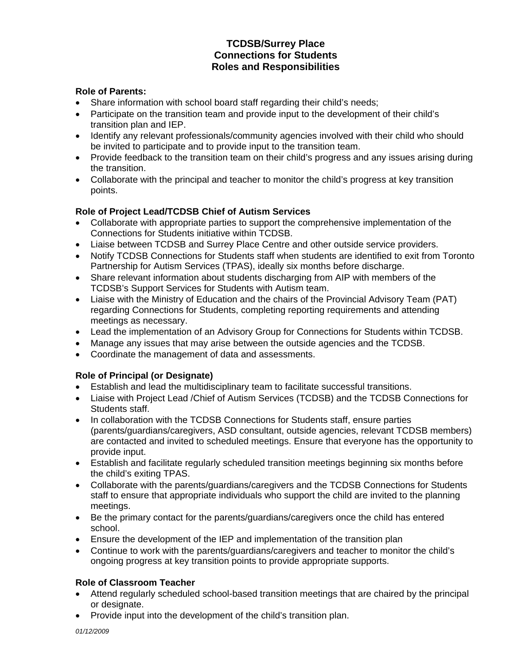# **TCDSB/Surrey Place Connections for Students Roles and Responsibilities**

# **Role of Parents:**

- Share information with school board staff regarding their child's needs;
- Participate on the transition team and provide input to the development of their child's transition plan and IEP.
- Identify any relevant professionals/community agencies involved with their child who should be invited to participate and to provide input to the transition team.
- Provide feedback to the transition team on their child's progress and any issues arising during the transition.
- Collaborate with the principal and teacher to monitor the child's progress at key transition points.

#### **Role of Project Lead/TCDSB Chief of Autism Services**

- Collaborate with appropriate parties to support the comprehensive implementation of the Connections for Students initiative within TCDSB.
- Liaise between TCDSB and Surrey Place Centre and other outside service providers.
- Notify TCDSB Connections for Students staff when students are identified to exit from Toronto Partnership for Autism Services (TPAS), ideally six months before discharge.
- Share relevant information about students discharging from AIP with members of the TCDSB's Support Services for Students with Autism team.
- Liaise with the Ministry of Education and the chairs of the Provincial Advisory Team (PAT) regarding Connections for Students, completing reporting requirements and attending meetings as necessary.
- Lead the implementation of an Advisory Group for Connections for Students within TCDSB.
- Manage any issues that may arise between the outside agencies and the TCDSB.
- Coordinate the management of data and assessments.

# **Role of Principal (or Designate)**

- Establish and lead the multidisciplinary team to facilitate successful transitions.
- Liaise with Project Lead /Chief of Autism Services (TCDSB) and the TCDSB Connections for Students staff.
- In collaboration with the TCDSB Connections for Students staff, ensure parties (parents/guardians/caregivers, ASD consultant, outside agencies, relevant TCDSB members) are contacted and invited to scheduled meetings. Ensure that everyone has the opportunity to provide input.
- Establish and facilitate regularly scheduled transition meetings beginning six months before the child's exiting TPAS.
- Collaborate with the parents/guardians/caregivers and the TCDSB Connections for Students staff to ensure that appropriate individuals who support the child are invited to the planning meetings.
- Be the primary contact for the parents/guardians/caregivers once the child has entered school.
- Ensure the development of the IEP and implementation of the transition plan
- Continue to work with the parents/guardians/caregivers and teacher to monitor the child's ongoing progress at key transition points to provide appropriate supports.

# **Role of Classroom Teacher**

- Attend regularly scheduled school-based transition meetings that are chaired by the principal or designate.
- Provide input into the development of the child's transition plan.